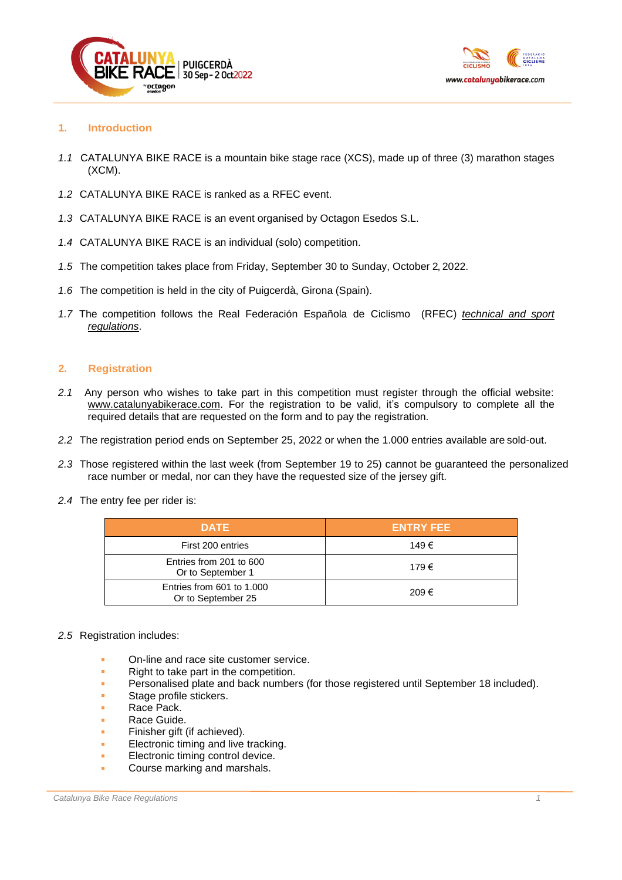



# **1. Introduction**

- *1.1* CATALUNYA BIKE RACE is a mountain bike stage race (XCS), made up of three (3) marathon stages (XCM).
- *1.2* CATALUNYA BIKE RACE is ranked as a RFEC event.
- *1.3* CATALUNYA BIKE RACE is an event organised by Octagon Esedos S.L.
- *1.4* CATALUNYA BIKE RACE is an individual (solo) competition.
- *1.5* The competition takes place from Friday, September 30 to Sunday, October 2, 2022.
- *1.6* The competition is held in the city of Puigcerdà, Girona (Spain).
- *1.7* The competition follows the Real Federación Española de Ciclismo (RFEC) *[technical](https://rfec.com/index.php/es/smartweb/seccion/seccion/rfec/Reglamento-del-Deporte-Ciclista-Uci) and sport [regulations](https://rfec.com/index.php/es/smartweb/seccion/seccion/rfec/Reglamento-del-Deporte-Ciclista-Uci)*.

# **2. Registration**

- *2.1* Any person who wishes to take part in this competition must register through the official website: [www.catalunyabikerace.com.](http://www.catalunyabikerace.com/) For the registration to be valid, it's compulsory to complete all the required details that are requested on the form and to pay the registration.
- *2.2* The registration period ends on September 25, 2022 or when the 1.000 entries available are sold-out.
- *2.3* Those registered within the last week (from September 19 to 25) cannot be guaranteed the personalized race number or medal, nor can they have the requested size of the jersey gift.
- *2.4* The entry fee per rider is:

| <b>DATE</b>                                     | <b>ENTRY FEE</b> |
|-------------------------------------------------|------------------|
| First 200 entries                               | 149€             |
| Entries from 201 to 600<br>Or to September 1    | 179€             |
| Entries from 601 to 1,000<br>Or to September 25 | 209€             |

# *2.5* Registration includes:

- On-line and race site customer service.
- Right to take part in the competition.
- Personalised plate and back numbers (for those registered until September 18 included).
- Stage profile stickers.
- Race Pack.
- Race Guide.
- Finisher gift (if achieved).
- Electronic timing and live tracking.
- **Electronic timing control device.**
- Course marking and marshals.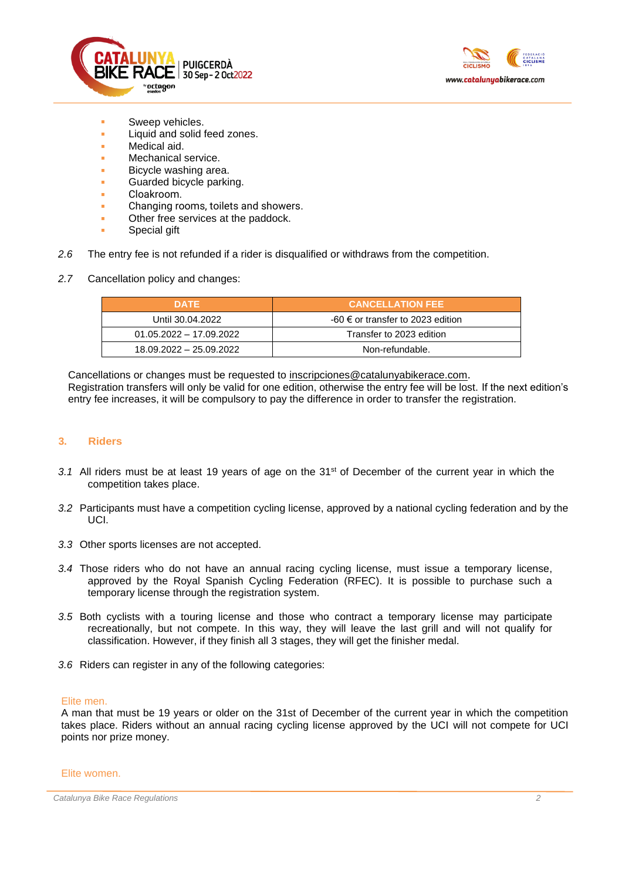



- Sweep vehicles.
- Liquid and solid feed zones.
- Medical aid.
- Mechanical service.
- Bicycle washing area.
- Guarded bicycle parking.
- Cloakroom.
- Changing rooms, toilets and showers.
- **Other free services at the paddock.**
- Special gift
- *2.6* The entry fee is not refunded if a rider is disqualified or withdraws from the competition.
- *2.7* Cancellation policy and changes:

| <b>DATE</b>               | <b>CANCELLATION FEE</b>                      |  |
|---------------------------|----------------------------------------------|--|
| Until 30.04.2022          | $-60 \in \text{or transfer}$ to 2023 edition |  |
| $01.05.2022 - 17.09.2022$ | Transfer to 2023 edition                     |  |
| 18.09.2022 - 25.09.2022   | Non-refundable.                              |  |

Cancellations or changes must be requested to [inscripciones@catalunyabikerace.com](mailto:inscripciones@catalunyabikerace.com). Registration transfers will only be valid for one edition, otherwise the entry fee will be lost. If the next edition's entry fee increases, it will be compulsory to pay the difference in order to transfer the registration.

# **3. Riders**

- 3.1 All riders must be at least 19 years of age on the 31<sup>st</sup> of December of the current year in which the competition takes place.
- *3.2* Participants must have a competition cycling license, approved by a national cycling federation and by the UCI.
- *3.3* Other sports licenses are not accepted.
- *3.4* Those riders who do not have an annual racing cycling license, must issue a temporary license, approved by the Royal Spanish Cycling Federation (RFEC). It is possible to purchase such a temporary license through the registration system.
- *3.5* Both cyclists with a touring license and those who contract a temporary license may participate recreationally, but not compete. In this way, they will leave the last grill and will not qualify for classification. However, if they finish all 3 stages, they will get the finisher medal.
- *3.6* Riders can register in any of the following categories:

### Elite men.

A man that must be 19 years or older on the 31st of December of the current year in which the competition takes place. Riders without an annual racing cycling license approved by the UCI will not compete for UCI points nor prize money.

Elite women.

*Catalunya Bike Race Regulations 2*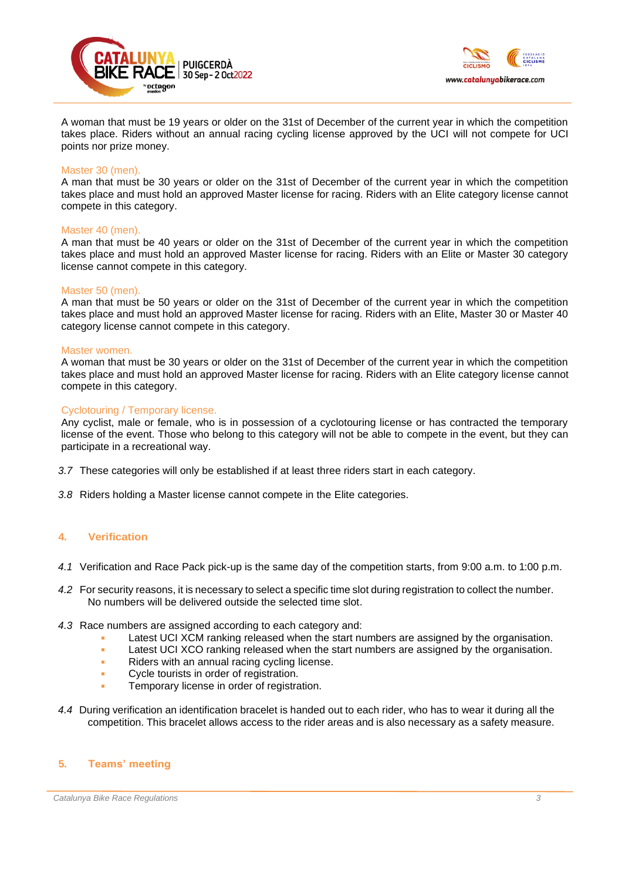



A woman that must be 19 years or older on the 31st of December of the current year in which the competition takes place. Riders without an annual racing cycling license approved by the UCI will not compete for UCI points nor prize money.

#### Master 30 (men).

A man that must be 30 years or older on the 31st of December of the current year in which the competition takes place and must hold an approved Master license for racing. Riders with an Elite category license cannot compete in this category.

#### Master 40 (men).

A man that must be 40 years or older on the 31st of December of the current year in which the competition takes place and must hold an approved Master license for racing. Riders with an Elite or Master 30 category license cannot compete in this category.

#### Master 50 (men).

A man that must be 50 years or older on the 31st of December of the current year in which the competition takes place and must hold an approved Master license for racing. Riders with an Elite, Master 30 or Master 40 category license cannot compete in this category.

#### Master women.

A woman that must be 30 years or older on the 31st of December of the current year in which the competition takes place and must hold an approved Master license for racing. Riders with an Elite category license cannot compete in this category.

#### Cyclotouring / Temporary license.

Any cyclist, male or female, who is in possession of a cyclotouring license or has contracted the temporary license of the event. Those who belong to this category will not be able to compete in the event, but they can participate in a recreational way.

- *3.7* These categories will only be established if at least three riders start in each category.
- *3.8* Riders holding a Master license cannot compete in the Elite categories.

### **4. Verification**

- *4.1* Verification and Race Pack pick-up is the same day of the competition starts, from 9:00 a.m. to 1:00 p.m.
- *4.2* For security reasons, it is necessary to select a specific time slot during registration to collect the number. No numbers will be delivered outside the selected time slot.
- *4.3* Race numbers are assigned according to each category and:
	- Latest UCI XCM ranking released when the start numbers are assigned by the organisation.
	- **EXECUTE 1.5 Latest UCI XCO ranking released when the start numbers are assigned by the organisation.**
	- Riders with an annual racing cycling license.
	- Cycle tourists in order of registration.
	- **EXECUTE:** Temporary license in order of registration.
- *4.4* During verification an identification bracelet is handed out to each rider, who has to wear it during all the competition. This bracelet allows access to the rider areas and is also necessary as a safety measure.

### **5. Teams' meeting**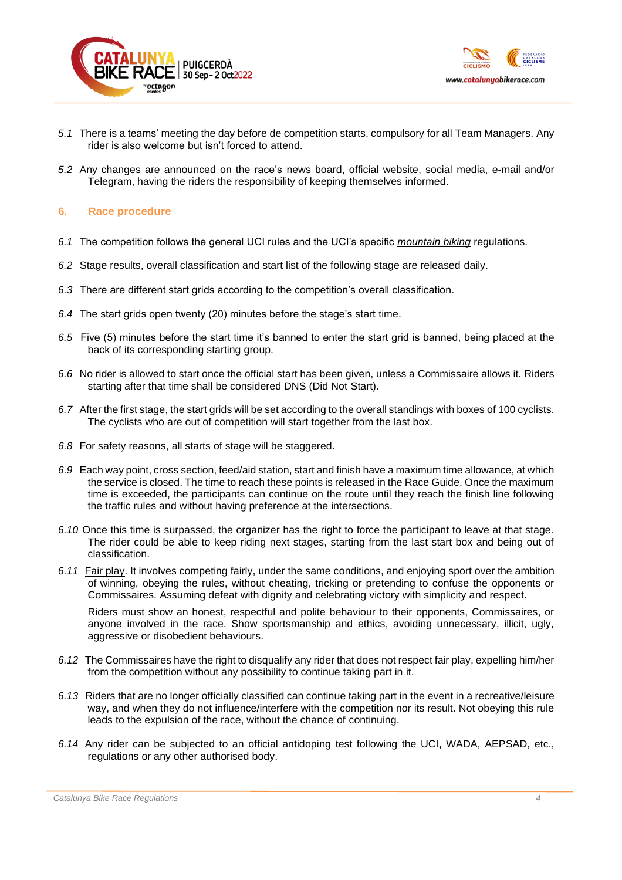



- *5.1* There is a teams' meeting the day before de competition starts, compulsory for all Team Managers. Any rider is also welcome but isn't forced to attend.
- *5.2* Any changes are announced on the race's news board, official website, social media, e-mail and/or Telegram, having the riders the responsibility of keeping themselves informed.

# **6. Race procedure**

- *6.1* The competition follows the general UCI rules and the UCI's specific *[mountain biking](http://www.uci.ch/mm/Document/News/Rulesandregulation/16/72/76/MTBReglementsENG_English.pdf)* regulations.
- *6.2* Stage results, overall classification and start list of the following stage are released daily.
- *6.3* There are different start grids according to the competition's overall classification.
- *6.4* The start grids open twenty (20) minutes before the stage's start time.
- *6.5* Five (5) minutes before the start time it's banned to enter the start grid is banned, being placed at the back of its corresponding starting group.
- *6.6* No rider is allowed to start once the official start has been given, unless a Commissaire allows it. Riders starting after that time shall be considered DNS (Did Not Start).
- *6.7* After the first stage, the start grids will be set according to the overall standings with boxes of 100 cyclists. The cyclists who are out of competition will start together from the last box.
- *6.8* For safety reasons, all starts of stage will be staggered.
- *6.9* Each way point, cross section, feed/aid station, start and finish have a maximum time allowance, at which the service is closed. The time to reach these points is released in the Race Guide. Once the maximum time is exceeded, the participants can continue on the route until they reach the finish line following the traffic rules and without having preference at the intersections.
- *6.10* Once this time is surpassed, the organizer has the right to force the participant to leave at that stage. The rider could be able to keep riding next stages, starting from the last start box and being out of classification.
- *6.11* Fair play. It involves competing fairly, under the same conditions, and enjoying sport over the ambition of winning, obeying the rules, without cheating, tricking or pretending to confuse the opponents or Commissaires. Assuming defeat with dignity and celebrating victory with simplicity and respect.

Riders must show an honest, respectful and polite behaviour to their opponents, Commissaires, or anyone involved in the race. Show sportsmanship and ethics, avoiding unnecessary, illicit, ugly, aggressive or disobedient behaviours.

- *6.12* The Commissaires have the right to disqualify any rider that does not respect fair play, expelling him/her from the competition without any possibility to continue taking part in it.
- *6.13* Riders that are no longer officially classified can continue taking part in the event in a recreative/leisure way, and when they do not influence/interfere with the competition nor its result. Not obeying this rule leads to the expulsion of the race, without the chance of continuing.
- *6.14* Any rider can be subjected to an official antidoping test following the UCI, WADA, AEPSAD, etc., regulations or any other authorised body.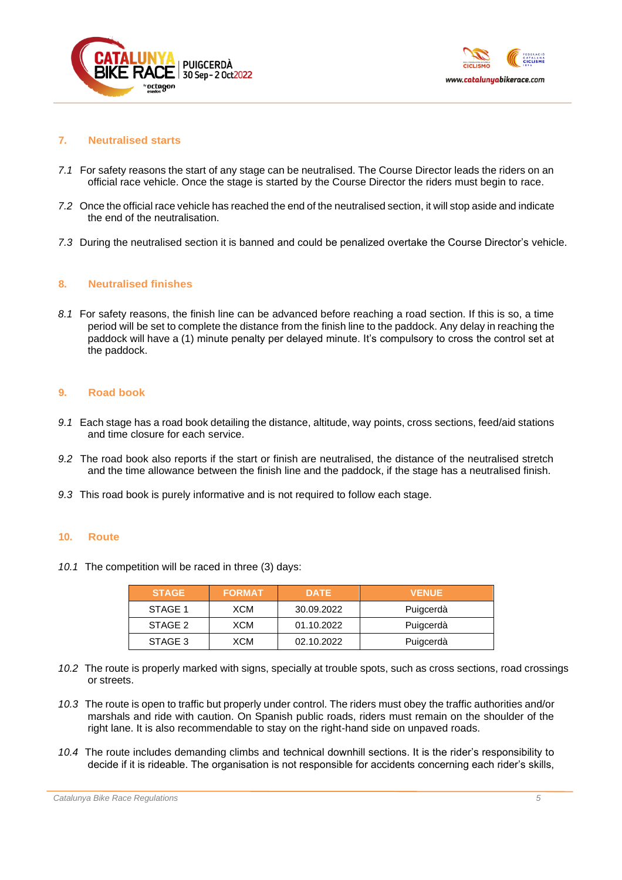



# **7. Neutralised starts**

- *7.1* For safety reasons the start of any stage can be neutralised. The Course Director leads the riders on an official race vehicle. Once the stage is started by the Course Director the riders must begin to race.
- *7.2* Once the official race vehicle has reached the end of the neutralised section, it will stop aside and indicate the end of the neutralisation.
- *7.3* During the neutralised section it is banned and could be penalized overtake the Course Director's vehicle.

### **8. Neutralised finishes**

*8.1* For safety reasons, the finish line can be advanced before reaching a road section. If this is so, a time period will be set to complete the distance from the finish line to the paddock. Any delay in reaching the paddock will have a (1) minute penalty per delayed minute. It's compulsory to cross the control set at the paddock.

#### **9. Road book**

- *9.1* Each stage has a road book detailing the distance, altitude, way points, cross sections, feed/aid stations and time closure for each service.
- *9.2* The road book also reports if the start or finish are neutralised, the distance of the neutralised stretch and the time allowance between the finish line and the paddock, if the stage has a neutralised finish.
- *9.3* This road book is purely informative and is not required to follow each stage.

#### **10. Route**

*10.1* The competition will be raced in three (3) days:

| <b>STAGE</b> | <b>FORMAT</b> | <b>DATE</b> | <b>VENUE</b> |
|--------------|---------------|-------------|--------------|
| STAGE 1      | XCM           | 30.09.2022  | Puigcerdà    |
| STAGE 2      | XCM           | 01.10.2022  | Puigcerdà    |
| STAGE 3      | XCM           | 02.10.2022  | Puigcerdà    |

- *10.2* The route is properly marked with signs, specially at trouble spots, such as cross sections, road crossings or streets.
- *10.3* The route is open to traffic but properly under control. The riders must obey the traffic authorities and/or marshals and ride with caution. On Spanish public roads, riders must remain on the shoulder of the right lane. It is also recommendable to stay on the right-hand side on unpaved roads.
- *10.4* The route includes demanding climbs and technical downhill sections. It is the rider's responsibility to decide if it is rideable. The organisation is not responsible for accidents concerning each rider's skills,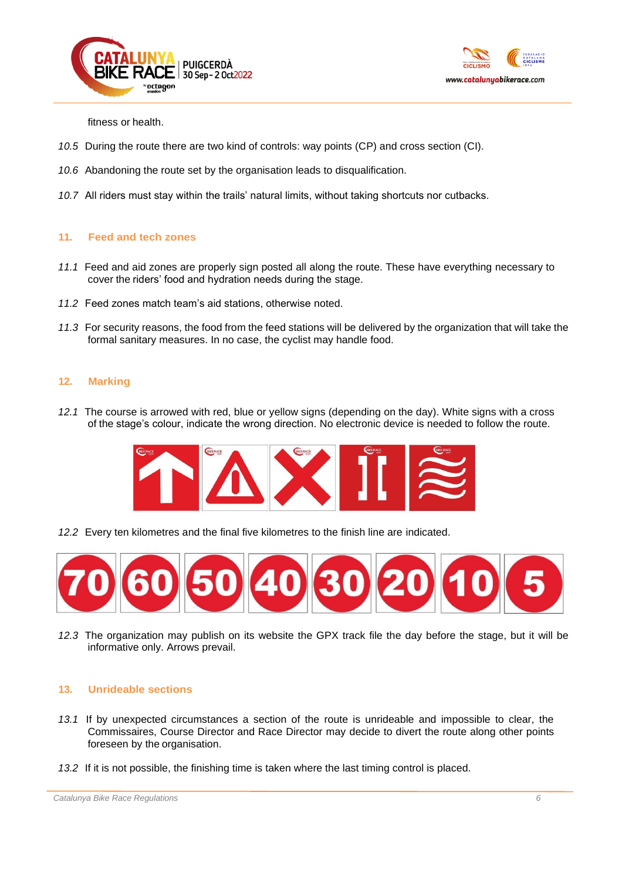



fitness or health.

- *10.5* During the route there are two kind of controls: way points (CP) and cross section (CI).
- *10.6* Abandoning the route set by the organisation leads to disqualification.
- *10.7* All riders must stay within the trails' natural limits, without taking shortcuts nor cutbacks.

# **11. Feed and tech zones**

- *11.1* Feed and aid zones are properly sign posted all along the route. These have everything necessary to cover the riders' food and hydration needs during the stage.
- *11.2* Feed zones match team's aid stations, otherwise noted.
- *11.3* For security reasons, the food from the feed stations will be delivered by the organization that will take the formal sanitary measures. In no case, the cyclist may handle food.

# **12. Marking**

*12.1* The course is arrowed with red, blue or yellow signs (depending on the day). White signs with a cross of the stage's colour, indicate the wrong direction. No electronic device is needed to follow the route.



*12.2* Every ten kilometres and the final five kilometres to the finish line are indicated.



*12.3* The organization may publish on its website the GPX track file the day before the stage, but it will be informative only. Arrows prevail.

### **13. Unrideable sections**

- *13.1* If by unexpected circumstances a section of the route is unrideable and impossible to clear, the Commissaires, Course Director and Race Director may decide to divert the route along other points foreseen by the organisation.
- *13.2* If it is not possible, the finishing time is taken where the last timing control is placed.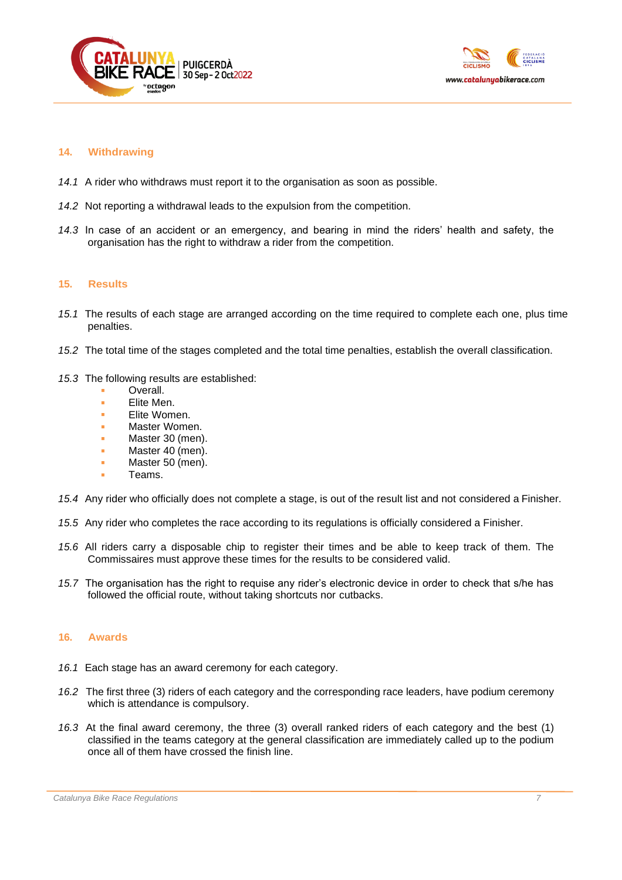



# **14. Withdrawing**

- *14.1* A rider who withdraws must report it to the organisation as soon as possible.
- *14.2* Not reporting a withdrawal leads to the expulsion from the competition.
- *14.3* In case of an accident or an emergency, and bearing in mind the riders' health and safety, the organisation has the right to withdraw a rider from the competition.

#### **15. Results**

- *15.1* The results of each stage are arranged according on the time required to complete each one, plus time penalties.
- *15.2* The total time of the stages completed and the total time penalties, establish the overall classification.
- *15.3* The following results are established:
	- Overall.
	- **Elite Men.**
	- **Elite Women.**
	- Master Women.
	- Master 30 (men).
	- Master 40 (men).
	- Master 50 (men).
	- Teams.
- *15.4* Any rider who officially does not complete a stage, is out of the result list and not considered a Finisher.
- *15.5* Any rider who completes the race according to its regulations is officially considered a Finisher.
- *15.6* All riders carry a disposable chip to register their times and be able to keep track of them. The Commissaires must approve these times for the results to be considered valid.
- *15.7* The organisation has the right to requise any rider's electronic device in order to check that s/he has followed the official route, without taking shortcuts nor cutbacks.

### **16. Awards**

- *16.1* Each stage has an award ceremony for each category.
- *16.2* The first three (3) riders of each category and the corresponding race leaders, have podium ceremony which is attendance is compulsory.
- *16.3* At the final award ceremony, the three (3) overall ranked riders of each category and the best (1) classified in the teams category at the general classification are immediately called up to the podium once all of them have crossed the finish line.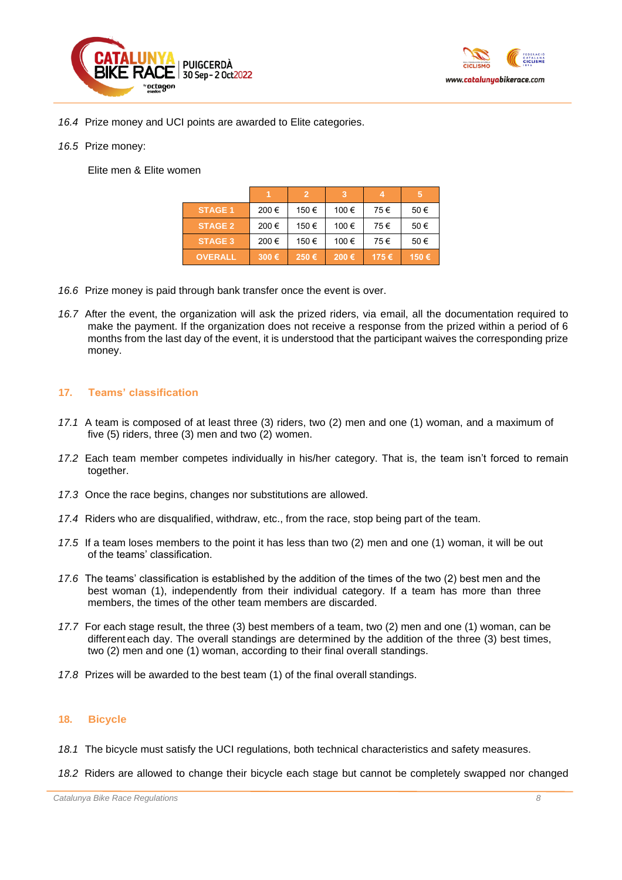



- *16.4* Prize money and UCI points are awarded to Elite categories.
- *16.5* Prize money:

Elite men & Elite women

|                |       | $\overline{2}$ |       |      | 5    |
|----------------|-------|----------------|-------|------|------|
| <b>STAGE 1</b> | 200€  | 150 €          | 100 € | 75€  | 50€  |
| <b>STAGE 2</b> | 200€  | 150 €          | 100 € | 75€  | 50€  |
| <b>STAGE 3</b> | 200€  | 150€           | 100 € | 75€  | 50€  |
| <b>OVERALL</b> | 300 € | 250€           | 200€  | 175€ | 150€ |

- *16.6* Prize money is paid through bank transfer once the event is over.
- *16.7* After the event, the organization will ask the prized riders, via email, all the documentation required to make the payment. If the organization does not receive a response from the prized within a period of 6 months from the last day of the event, it is understood that the participant waives the corresponding prize money.

# **17. Teams' classification**

- *17.1* A team is composed of at least three (3) riders, two (2) men and one (1) woman, and a maximum of five (5) riders, three (3) men and two (2) women.
- *17.2* Each team member competes individually in his/her category. That is, the team isn't forced to remain together.
- *17.3* Once the race begins, changes nor substitutions are allowed.
- *17.4* Riders who are disqualified, withdraw, etc., from the race, stop being part of the team.
- *17.5* If a team loses members to the point it has less than two (2) men and one (1) woman, it will be out of the teams' classification.
- *17.6* The teams' classification is established by the addition of the times of the two (2) best men and the best woman (1), independently from their individual category. If a team has more than three members, the times of the other team members are discarded.
- *17.7* For each stage result, the three (3) best members of a team, two (2) men and one (1) woman, can be different each day. The overall standings are determined by the addition of the three (3) best times, two (2) men and one (1) woman, according to their final overall standings.
- *17.8* Prizes will be awarded to the best team (1) of the final overall standings.

### **18. Bicycle**

- *18.1* The bicycle must satisfy the UCI regulations, both technical characteristics and safety measures.
- *18.2* Riders are allowed to change their bicycle each stage but cannot be completely swapped nor changed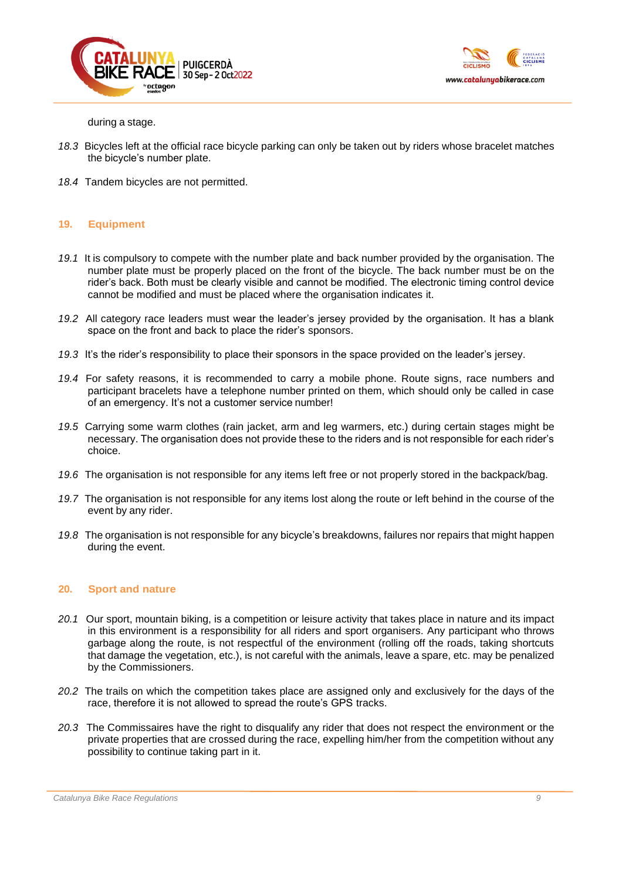



during a stage.

- *18.3* Bicycles left at the official race bicycle parking can only be taken out by riders whose bracelet matches the bicycle's number plate.
- *18.4* Tandem bicycles are not permitted.

# **19. Equipment**

- *19.1* It is compulsory to compete with the number plate and back number provided by the organisation. The number plate must be properly placed on the front of the bicycle. The back number must be on the rider's back. Both must be clearly visible and cannot be modified. The electronic timing control device cannot be modified and must be placed where the organisation indicates it.
- *19.2* All category race leaders must wear the leader's jersey provided by the organisation. It has a blank space on the front and back to place the rider's sponsors.
- *19.3* It's the rider's responsibility to place their sponsors in the space provided on the leader's jersey.
- *19.4* For safety reasons, it is recommended to carry a mobile phone. Route signs, race numbers and participant bracelets have a telephone number printed on them, which should only be called in case of an emergency. It's not a customer service number!
- *19.5* Carrying some warm clothes (rain jacket, arm and leg warmers, etc.) during certain stages might be necessary. The organisation does not provide these to the riders and is not responsible for each rider's choice.
- *19.6* The organisation is not responsible for any items left free or not properly stored in the backpack/bag.
- *19.7* The organisation is not responsible for any items lost along the route or left behind in the course of the event by any rider.
- *19.8* The organisation is not responsible for any bicycle's breakdowns, failures nor repairs that might happen during the event.

### **20. Sport and nature**

- *20.1* Our sport, mountain biking, is a competition or leisure activity that takes place in nature and its impact in this environment is a responsibility for all riders and sport organisers. Any participant who throws garbage along the route, is not respectful of the environment (rolling off the roads, taking shortcuts that damage the vegetation, etc.), is not careful with the animals, leave a spare, etc. may be penalized by the Commissioners.
- *20.2* The trails on which the competition takes place are assigned only and exclusively for the days of the race, therefore it is not allowed to spread the route's GPS tracks.
- *20.3* The Commissaires have the right to disqualify any rider that does not respect the environment or the private properties that are crossed during the race, expelling him/her from the competition without any possibility to continue taking part in it.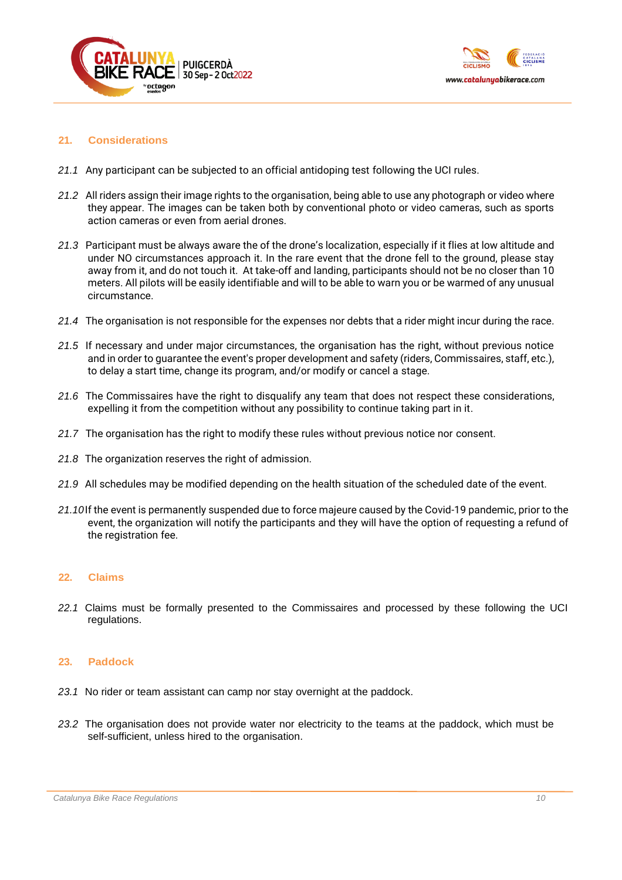



# **21. Considerations**

- *21.1* Any participant can be subjected to an official antidoping test following the UCI rules.
- *21.2* All riders assign their image rights to the organisation, being able to use any photograph or video where they appear. The images can be taken both by conventional photo or video cameras, such as sports action cameras or even from aerial drones.
- *21.3* Participant must be always aware the of the drone's localization, especially if it flies at low altitude and under NO circumstances approach it. In the rare event that the drone fell to the ground, please stay away from it, and do not touch it. At take-off and landing, participants should not be no closer than 10 meters. All pilots will be easily identifiable and will to be able to warn you or be warmed of any unusual circumstance.
- *21.4* The organisation is not responsible for the expenses nor debts that a rider might incur during the race.
- *21.5* If necessary and under major circumstances, the organisation has the right, without previous notice and in order to guarantee the event's proper development and safety (riders, Commissaires, staff, etc.), to delay a start time, change its program, and/or modify or cancel a stage.
- *21.6* The Commissaires have the right to disqualify any team that does not respect these considerations, expelling it from the competition without any possibility to continue taking part in it.
- *21.7* The organisation has the right to modify these rules without previous notice nor consent.
- *21.8* The organization reserves the right of admission.
- *21.9* All schedules may be modified depending on the health situation of the scheduled date of the event.
- *21.10*If the event is permanently suspended due to force majeure caused by the Covid-19 pandemic, prior to the event, the organization will notify the participants and they will have the option of requesting a refund of the registration fee.

### **22. Claims**

*22.1* Claims must be formally presented to the Commissaires and processed by these following the UCI regulations.

### **23. Paddock**

- *23.1* No rider or team assistant can camp nor stay overnight at the paddock.
- *23.2* The organisation does not provide water nor electricity to the teams at the paddock, which must be self-sufficient, unless hired to the organisation.